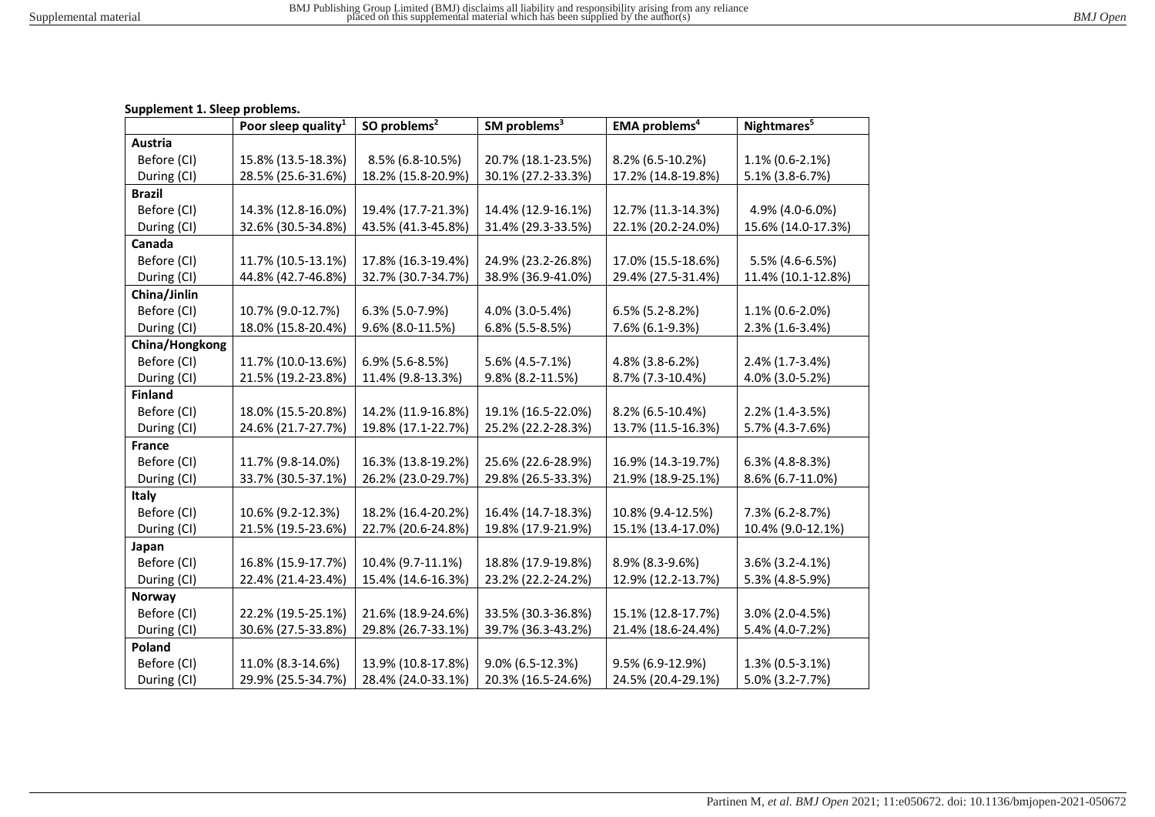## **Supplement 1. Sleep problems.**

|                | Poor sleep quality <sup>1</sup> | SO problems <sup>2</sup> | SM problems <sup>3</sup> | <b>EMA</b> problems <sup>4</sup> | Nightmares <sup>5</sup> |
|----------------|---------------------------------|--------------------------|--------------------------|----------------------------------|-------------------------|
| Austria        |                                 |                          |                          |                                  |                         |
| Before (CI)    | 15.8% (13.5-18.3%)              | 8.5% (6.8-10.5%)         | 20.7% (18.1-23.5%)       | 8.2% (6.5-10.2%)                 | $1.1\%$ (0.6-2.1%)      |
| During (CI)    | 28.5% (25.6-31.6%)              | 18.2% (15.8-20.9%)       | 30.1% (27.2-33.3%)       | 17.2% (14.8-19.8%)               | 5.1% (3.8-6.7%)         |
| <b>Brazil</b>  |                                 |                          |                          |                                  |                         |
| Before (CI)    | 14.3% (12.8-16.0%)              | 19.4% (17.7-21.3%)       | 14.4% (12.9-16.1%)       | 12.7% (11.3-14.3%)               | 4.9% (4.0-6.0%)         |
| During (CI)    | 32.6% (30.5-34.8%)              | 43.5% (41.3-45.8%)       | 31.4% (29.3-33.5%)       | 22.1% (20.2-24.0%)               | 15.6% (14.0-17.3%)      |
| Canada         |                                 |                          |                          |                                  |                         |
| Before (CI)    | 11.7% (10.5-13.1%)              | 17.8% (16.3-19.4%)       | 24.9% (23.2-26.8%)       | 17.0% (15.5-18.6%)               | 5.5% (4.6-6.5%)         |
| During (CI)    | 44.8% (42.7-46.8%)              | 32.7% (30.7-34.7%)       | 38.9% (36.9-41.0%)       | 29.4% (27.5-31.4%)               | 11.4% (10.1-12.8%)      |
| China/Jinlin   |                                 |                          |                          |                                  |                         |
| Before (CI)    | 10.7% (9.0-12.7%)               | $6.3\%$ (5.0-7.9%)       | 4.0% (3.0-5.4%)          | $6.5\%$ (5.2-8.2%)               | 1.1% (0.6-2.0%)         |
| During (CI)    | 18.0% (15.8-20.4%)              | 9.6% (8.0-11.5%)         | 6.8% (5.5-8.5%)          | 7.6% (6.1-9.3%)                  | 2.3% (1.6-3.4%)         |
| China/Hongkong |                                 |                          |                          |                                  |                         |
| Before (CI)    | 11.7% (10.0-13.6%)              | $6.9\%$ (5.6-8.5%)       | 5.6% (4.5-7.1%)          | 4.8% (3.8-6.2%)                  | 2.4% (1.7-3.4%)         |
| During (CI)    | 21.5% (19.2-23.8%)              | 11.4% (9.8-13.3%)        | 9.8% (8.2-11.5%)         | 8.7% (7.3-10.4%)                 | 4.0% (3.0-5.2%)         |
| <b>Finland</b> |                                 |                          |                          |                                  |                         |
| Before (CI)    | 18.0% (15.5-20.8%)              | 14.2% (11.9-16.8%)       | 19.1% (16.5-22.0%)       | 8.2% (6.5-10.4%)                 | 2.2% (1.4-3.5%)         |
| During (CI)    | 24.6% (21.7-27.7%)              | 19.8% (17.1-22.7%)       | 25.2% (22.2-28.3%)       | 13.7% (11.5-16.3%)               | 5.7% (4.3-7.6%)         |
| <b>France</b>  |                                 |                          |                          |                                  |                         |
| Before (CI)    | 11.7% (9.8-14.0%)               | 16.3% (13.8-19.2%)       | 25.6% (22.6-28.9%)       | 16.9% (14.3-19.7%)               | 6.3% (4.8-8.3%)         |
| During (CI)    | 33.7% (30.5-37.1%)              | 26.2% (23.0-29.7%)       | 29.8% (26.5-33.3%)       | 21.9% (18.9-25.1%)               | 8.6% (6.7-11.0%)        |
| Italy          |                                 |                          |                          |                                  |                         |
| Before (CI)    | 10.6% (9.2-12.3%)               | 18.2% (16.4-20.2%)       | 16.4% (14.7-18.3%)       | 10.8% (9.4-12.5%)                | 7.3% (6.2-8.7%)         |
| During (CI)    | 21.5% (19.5-23.6%)              | 22.7% (20.6-24.8%)       | 19.8% (17.9-21.9%)       | 15.1% (13.4-17.0%)               | 10.4% (9.0-12.1%)       |
| Japan          |                                 |                          |                          |                                  |                         |
| Before (CI)    | 16.8% (15.9-17.7%)              | 10.4% (9.7-11.1%)        | 18.8% (17.9-19.8%)       | 8.9% (8.3-9.6%)                  | 3.6% (3.2-4.1%)         |
| During (CI)    | 22.4% (21.4-23.4%)              | 15.4% (14.6-16.3%)       | 23.2% (22.2-24.2%)       | 12.9% (12.2-13.7%)               | 5.3% (4.8-5.9%)         |
| <b>Norway</b>  |                                 |                          |                          |                                  |                         |
| Before (CI)    | 22.2% (19.5-25.1%)              | 21.6% (18.9-24.6%)       | 33.5% (30.3-36.8%)       | 15.1% (12.8-17.7%)               | 3.0% (2.0-4.5%)         |
| During (CI)    | 30.6% (27.5-33.8%)              | 29.8% (26.7-33.1%)       | 39.7% (36.3-43.2%)       | 21.4% (18.6-24.4%)               | 5.4% (4.0-7.2%)         |
| Poland         |                                 |                          |                          |                                  |                         |
| Before (CI)    | 11.0% (8.3-14.6%)               | 13.9% (10.8-17.8%)       | 9.0% (6.5-12.3%)         | 9.5% (6.9-12.9%)                 | 1.3% (0.5-3.1%)         |
| During (CI)    | 29.9% (25.5-34.7%)              | 28.4% (24.0-33.1%)       | 20.3% (16.5-24.6%)       | 24.5% (20.4-29.1%)               | 5.0% (3.2-7.7%)         |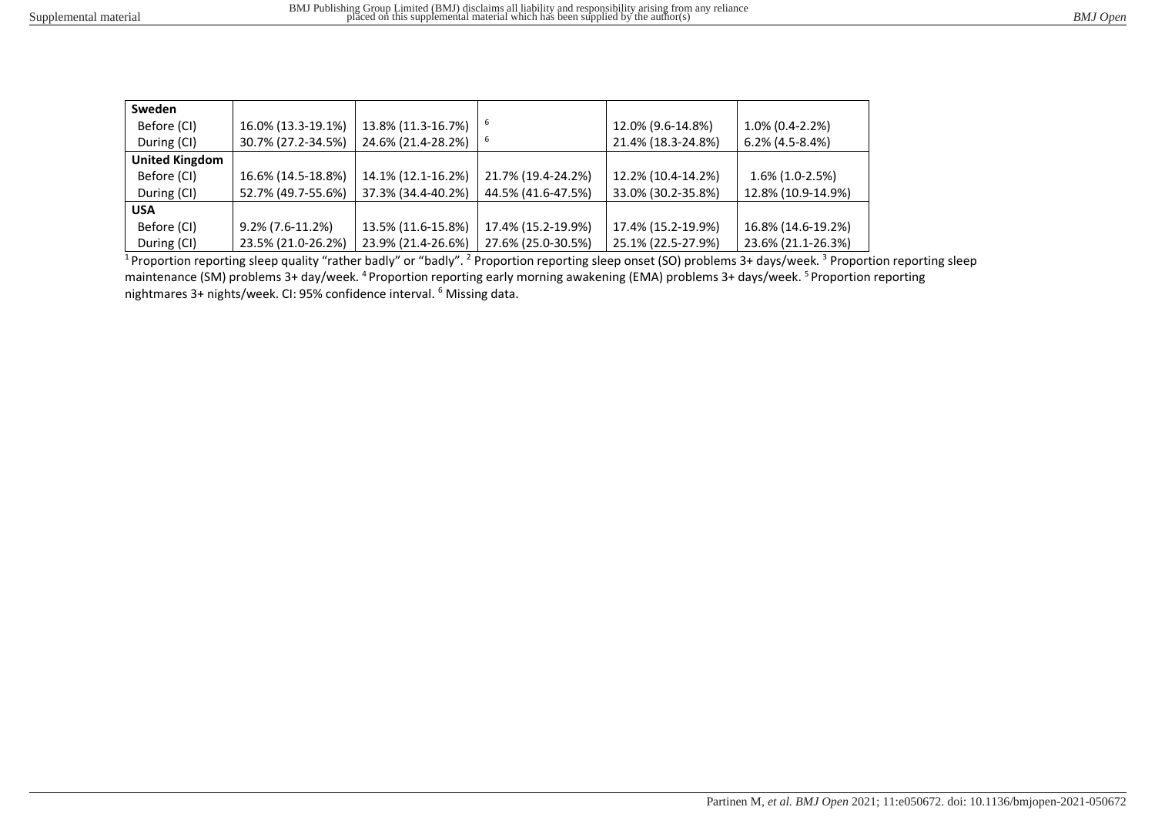| Sweden                |                     |                    |                    |                    |                    |
|-----------------------|---------------------|--------------------|--------------------|--------------------|--------------------|
| Before (CI)           | 16.0% (13.3-19.1%)  | 13.8% (11.3-16.7%) |                    | 12.0% (9.6-14.8%)  | $1.0\%$ (0.4-2.2%) |
| During (CI)           | 30.7% (27.2-34.5%)  | 24.6% (21.4-28.2%) |                    | 21.4% (18.3-24.8%) | $6.2\%$ (4.5-8.4%) |
| <b>United Kingdom</b> |                     |                    |                    |                    |                    |
| Before (CI)           | 16.6% (14.5-18.8%)  | 14.1% (12.1-16.2%) | 21.7% (19.4-24.2%) | 12.2% (10.4-14.2%) | $1.6\%$ (1.0-2.5%) |
| During (CI)           | 52.7% (49.7-55.6%)  | 37.3% (34.4-40.2%) | 44.5% (41.6-47.5%) | 33.0% (30.2-35.8%) | 12.8% (10.9-14.9%) |
| <b>USA</b>            |                     |                    |                    |                    |                    |
| Before (CI)           | $9.2\%$ (7.6-11.2%) | 13.5% (11.6-15.8%) | 17.4% (15.2-19.9%) | 17.4% (15.2-19.9%) | 16.8% (14.6-19.2%) |
| During (CI)           | 23.5% (21.0-26.2%)  | 23.9% (21.4-26.6%) | 27.6% (25.0-30.5%) | 25.1% (22.5-27.9%) | 23.6% (21.1-26.3%) |

<sup>1</sup> Proportion reporting sleep quality "rather badly" or "badly". <sup>2</sup> Proportion reporting sleep onset (SO) problems 3+ days/week. <sup>3</sup> Proportion reporting sleep maintenance (SM) problems 3+ day/week. <sup>4</sup> Proportion reporting early morning awakening (EMA) problems 3+ days/week. <sup>5</sup> Proportion reporting nightmares 3+ nights/week. CI: 95% confidence interval. <sup>6</sup> Missing data.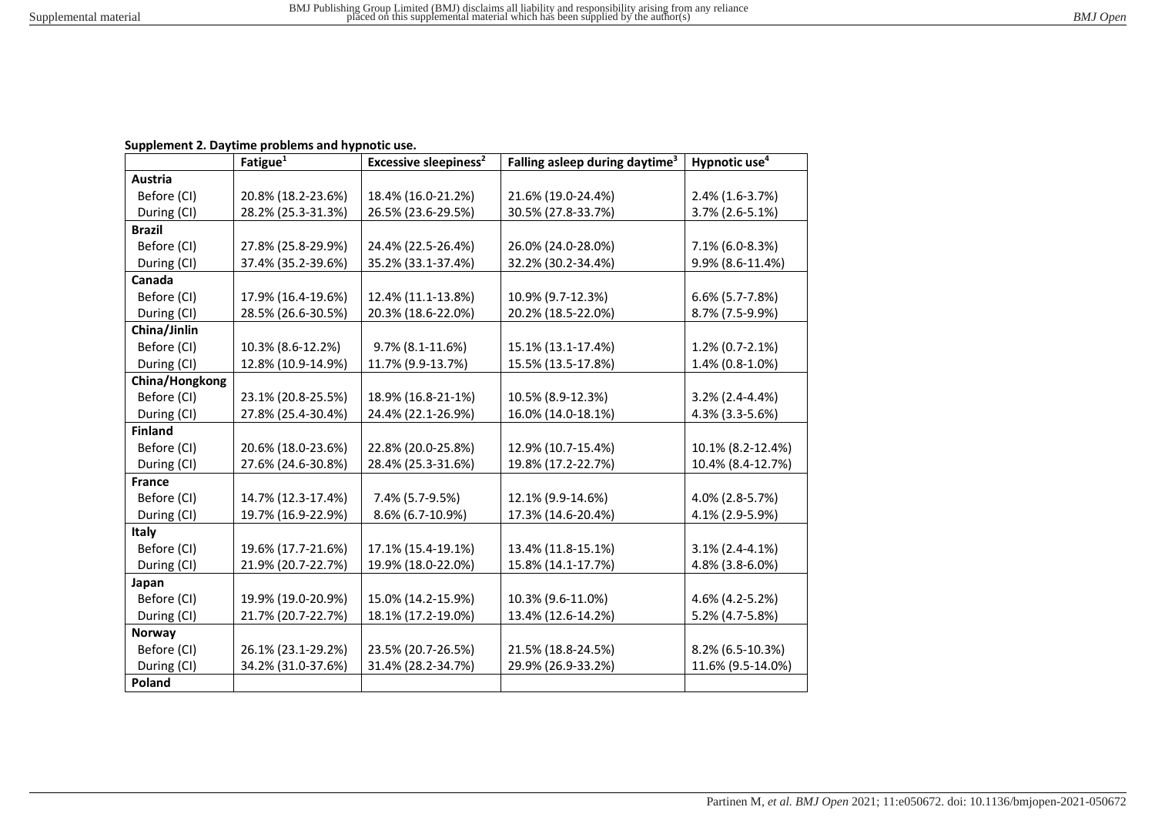## **Supplement 2. Daytime problems and hypnotic use.**

|                | Fatigue <sup>1</sup> | <b>Excessive sleepiness<sup>2</sup></b> | Falling asleep during daytime <sup>3</sup> | Hypnotic use <sup>4</sup> |
|----------------|----------------------|-----------------------------------------|--------------------------------------------|---------------------------|
| Austria        |                      |                                         |                                            |                           |
| Before (CI)    | 20.8% (18.2-23.6%)   | 18.4% (16.0-21.2%)                      | 21.6% (19.0-24.4%)                         | 2.4% (1.6-3.7%)           |
| During (CI)    | 28.2% (25.3-31.3%)   | 26.5% (23.6-29.5%)                      | 30.5% (27.8-33.7%)                         | 3.7% (2.6-5.1%)           |
| <b>Brazil</b>  |                      |                                         |                                            |                           |
| Before (CI)    | 27.8% (25.8-29.9%)   | 24.4% (22.5-26.4%)                      | 26.0% (24.0-28.0%)                         | 7.1% (6.0-8.3%)           |
| During (CI)    | 37.4% (35.2-39.6%)   | 35.2% (33.1-37.4%)                      | 32.2% (30.2-34.4%)                         | 9.9% (8.6-11.4%)          |
| Canada         |                      |                                         |                                            |                           |
| Before (CI)    | 17.9% (16.4-19.6%)   | 12.4% (11.1-13.8%)                      | 10.9% (9.7-12.3%)                          | $6.6\%$ (5.7-7.8%)        |
| During (CI)    | 28.5% (26.6-30.5%)   | 20.3% (18.6-22.0%)                      | 20.2% (18.5-22.0%)                         | 8.7% (7.5-9.9%)           |
| China/Jinlin   |                      |                                         |                                            |                           |
| Before (CI)    | 10.3% (8.6-12.2%)    | 9.7% (8.1-11.6%)                        | 15.1% (13.1-17.4%)                         | 1.2% (0.7-2.1%)           |
| During (CI)    | 12.8% (10.9-14.9%)   | 11.7% (9.9-13.7%)                       | 15.5% (13.5-17.8%)                         | 1.4% (0.8-1.0%)           |
| China/Hongkong |                      |                                         |                                            |                           |
| Before (CI)    | 23.1% (20.8-25.5%)   | 18.9% (16.8-21-1%)                      | 10.5% (8.9-12.3%)                          | 3.2% (2.4-4.4%)           |
| During (CI)    | 27.8% (25.4-30.4%)   | 24.4% (22.1-26.9%)                      | 16.0% (14.0-18.1%)                         | 4.3% (3.3-5.6%)           |
| <b>Finland</b> |                      |                                         |                                            |                           |
| Before (CI)    | 20.6% (18.0-23.6%)   | 22.8% (20.0-25.8%)                      | 12.9% (10.7-15.4%)                         | 10.1% (8.2-12.4%)         |
| During (CI)    | 27.6% (24.6-30.8%)   | 28.4% (25.3-31.6%)                      | 19.8% (17.2-22.7%)                         | 10.4% (8.4-12.7%)         |
| <b>France</b>  |                      |                                         |                                            |                           |
| Before (CI)    | 14.7% (12.3-17.4%)   | 7.4% (5.7-9.5%)                         | 12.1% (9.9-14.6%)                          | 4.0% (2.8-5.7%)           |
| During (CI)    | 19.7% (16.9-22.9%)   | 8.6% (6.7-10.9%)                        | 17.3% (14.6-20.4%)                         | 4.1% (2.9-5.9%)           |
| Italy          |                      |                                         |                                            |                           |
| Before (CI)    | 19.6% (17.7-21.6%)   | 17.1% (15.4-19.1%)                      | 13.4% (11.8-15.1%)                         | $3.1\%$ (2.4-4.1%)        |
| During (CI)    | 21.9% (20.7-22.7%)   | 19.9% (18.0-22.0%)                      | 15.8% (14.1-17.7%)                         | 4.8% (3.8-6.0%)           |
| Japan          |                      |                                         |                                            |                           |
| Before (CI)    | 19.9% (19.0-20.9%)   | 15.0% (14.2-15.9%)                      | 10.3% (9.6-11.0%)                          | 4.6% (4.2-5.2%)           |
| During (CI)    | 21.7% (20.7-22.7%)   | 18.1% (17.2-19.0%)                      | 13.4% (12.6-14.2%)                         | 5.2% (4.7-5.8%)           |
| Norway         |                      |                                         |                                            |                           |
| Before (CI)    | 26.1% (23.1-29.2%)   | 23.5% (20.7-26.5%)                      | 21.5% (18.8-24.5%)                         | 8.2% (6.5-10.3%)          |
| During (CI)    | 34.2% (31.0-37.6%)   | 31.4% (28.2-34.7%)                      | 29.9% (26.9-33.2%)                         | 11.6% (9.5-14.0%)         |
| Poland         |                      |                                         |                                            |                           |